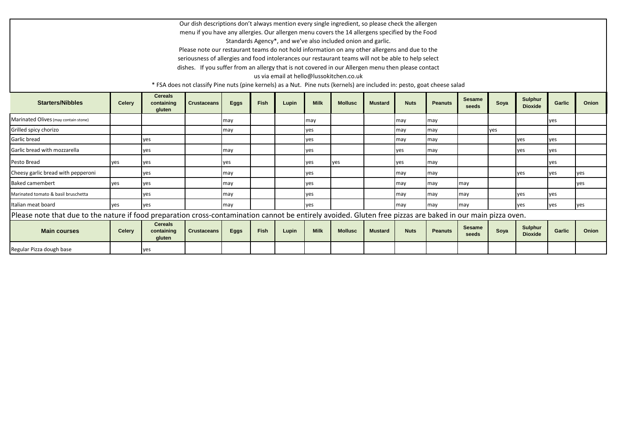Our dish descriptions don't always mention every single ingredient, so please check the allergen menu if you have any allergies. Our allergen menu covers the 14 allergens specified by the Food Standards Agency\*, and we've also included onion and garlic.

Please note our restaurant teams do not hold information on any other allergens and due to the seriousness of allergies and food intolerances our restaurant teams will not be able to help select dishes. If you suffer from an allergy that is not covered in our Allergen menu then please contact

us via email at hello@lussokitchen.co.uk

\* FSA does not classify Pine nuts (pine kernels) as a Nut. Pine nuts (kernels) are included in: pesto, goat cheese salad

| <b>Starters/Nibbles</b>                                                                                                                                     | <b>Celery</b> | <b>Cereals</b><br>containing<br>gluten | <b>Crustaceans</b> | <b>Eggs</b> | Fish | Lupin | <b>Milk</b> | <b>Mollusc</b> | <b>Mustard</b> | <b>Nuts</b> | <b>Peanuts</b> | <b>Sesame</b><br>seeds | Soya | <b>Sulphur</b><br><b>Dioxide</b> | Garlic | Onion |
|-------------------------------------------------------------------------------------------------------------------------------------------------------------|---------------|----------------------------------------|--------------------|-------------|------|-------|-------------|----------------|----------------|-------------|----------------|------------------------|------|----------------------------------|--------|-------|
| Marinated Olives (may contain stone)                                                                                                                        |               |                                        |                    | may         |      |       | may         |                |                | may         | may            |                        |      |                                  | yes    |       |
| Grilled spicy chorizo                                                                                                                                       |               |                                        |                    | may         |      |       | yes         |                |                | may         | may            |                        | lyes |                                  |        |       |
| Garlic bread                                                                                                                                                |               | <b>yes</b>                             |                    |             |      |       | yes         |                |                | may         | may            |                        |      | lyes                             | yes    |       |
| Garlic bread with mozzarella                                                                                                                                |               | ves                                    |                    | may         |      |       | yes         |                |                | ves         | may            |                        |      | lyes                             | yes    |       |
| Pesto Bread                                                                                                                                                 | ves           | <b>yes</b>                             |                    | ves         |      |       | yes         | ves            |                | ves         | may            |                        |      |                                  | yes    |       |
| Cheesy garlic bread with pepperoni                                                                                                                          |               | yes                                    |                    | may         |      |       | yes         |                |                | may         | may            |                        |      | lyes                             | yes    | yes   |
| <b>Baked camembert</b>                                                                                                                                      | ves           | <b>yes</b>                             |                    | may         |      |       | yes         |                |                | may         | may            | may                    |      |                                  |        | yes   |
| Marinated tomato & basil bruschetta                                                                                                                         |               | yes                                    |                    | may         |      |       | yes         |                |                | may         | may            | may                    |      | lyes                             | yes    |       |
| Italian meat board                                                                                                                                          | yes           | yes                                    |                    | may         |      |       | yes         |                |                | may         | may            | may                    |      | lyes                             | yes    | yes   |
| Please note that due to the nature if food preparation cross-contamination cannot be entirely avoided. Gluten free pizzas are baked in our main pizza oven. |               |                                        |                    |             |      |       |             |                |                |             |                |                        |      |                                  |        |       |
| <b>Main courses</b>                                                                                                                                         | <b>Celery</b> | <b>Cereals</b><br>containing<br>gluten | <b>Crustaceans</b> | <b>Eggs</b> | Fish | Lupin | <b>Milk</b> | <b>Mollusc</b> | <b>Mustard</b> | <b>Nuts</b> | <b>Peanuts</b> | <b>Sesame</b><br>seeds | Soya | Sulphur<br><b>Dioxide</b>        | Garlic | Onion |
| Regular Pizza dough base                                                                                                                                    |               | yes                                    |                    |             |      |       |             |                |                |             |                |                        |      |                                  |        |       |